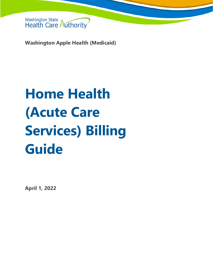

**Washington Apple Health (Medicaid)**

# **Home Health (Acute Care Services) Billing Guide**

**April 1, 2022**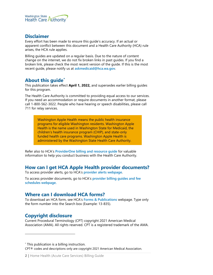

### **Disclaimer**

Every effort has been made to ensure this guide's accuracy. If an actual or apparent conflict between this document and a Health Care Authority (HCA) rule arises, the HCA rule applies.

Billing guides are updated on a regular basis. Due to the nature of content change on the internet, we do not fix broken links in past guides. If you find a broken link, please check the most recent version of the guide. If this is the most recent guide, please notify us at **[askmedicaid@hca.wa.gov](mailto:askmedicaid@hca.wa.gov)**.

# **About this guide[\\*](#page-1-0)**

This publication takes effect **April 1, 2022,** and supersedes earlier billing guides for this program.

The Health Care Authority is committed to providing equal access to our services. If you need an accommodation or require documents in another format, please call 1-800-562-3022. People who have hearing or speech disabilities, please call 711 for relay services.

Washington Apple Health means the public health insurance programs for eligible Washington residents. Washington Apple Health is the name used in Washington State for Medicaid, the children's health insurance program (CHIP), and state-only funded health care programs. Washington Apple Health is administered by the Washington State Health Care Authority.

Refer also to HCA's **[ProviderOne billing and resource guide](http://www.hca.wa.gov/node/311)** for valuable information to help you conduct business with the Health Care Authority.

# **How can I get HCA Apple Health provider documents?**

To access provider alerts, go to HCA's **[provider alerts webpage](http://www.hca.wa.gov/node/316)**.

To access provider documents, go to HCA's **[provider billing guides and fee](http://www.hca.wa.gov/node/301)  [schedules webpage.](http://www.hca.wa.gov/node/301)**

# <span id="page-1-1"></span>**Where can I download HCA forms?**

To download an HCA form, see HCA's **[Forms & Publications](http://www.hca.wa.gov/billers-providers/forms-and-publications)** webpage. Type only the form number into the Search box (Example: 13-835).

# **Copyright disclosure**

Current Procedural Terminology (CPT) copyright 2021 American Medical Association (AMA). All rights reserved. CPT is a registered trademark of the AMA.

<span id="page-1-0"></span>\* This publication is a billing instruction.

CPT® codes and descriptions only are copyright 2021 American Medical Association.

**2 |** Home Health (Acute Care Services) Billing Guide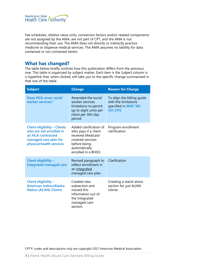

Fee schedules, relative value units, conversion factors and/or related components are not assigned by the AMA, are not part of CPT, and the AMA is not recommending their use. The AMA does not directly or indirectly practice medicine or dispense medical services. The AMA assumes no liability for data contained or not contained herein.

# **What has changed?**

The table below briefly outlines how this publication differs from the previous one. This table is organized by subject matter. Each item is the *Subject* column is a hyperlink that, when clicked, will take you to the specific change summarized in that row of the table.

| <b>Subject</b>                                                                                                                           | <b>Change</b>                                                                                                                                   | <b>Reason for Change</b>                                                                |  |
|------------------------------------------------------------------------------------------------------------------------------------------|-------------------------------------------------------------------------------------------------------------------------------------------------|-----------------------------------------------------------------------------------------|--|
| Does HCA cover social<br>worker services?                                                                                                | Amended the social<br>worker services<br>limitations to permit<br>up to eight units per<br>client per 365-day<br>period                         | To align the billing guide<br>with the limitations<br>specified in WAC 182-<br>551-2115 |  |
| <b>Client eligibility - Clients</b><br>who are not enrolled in<br>an HCA-contracted<br>managed care plan for<br>physical health services | Added clarification of<br>who pays if a client<br>received Medicaid-<br>covered services<br>before being<br>automatically<br>enrolled in a BHSO | Program enrollment<br>clarification                                                     |  |
| Client eligibility -<br>Integrated managed care                                                                                          | Revised paragraph to<br>reflect enrollment in<br>an integrated<br>managed care plan                                                             | Clarification                                                                           |  |
| Client eligibility -<br><b>American Indian/Alaska</b><br><b>Native (AI/AN) Clients</b>                                                   | Created new<br>subsection and<br>moved this<br>information out of<br>the Integrated<br>managed care<br>section.                                 | Creating a stand-alone<br>section for just AI/AN<br>clients.                            |  |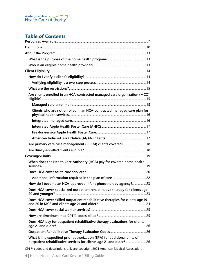

# **Table of Contents**

| Are clients enrolled in an HCA-contracted managed care organization (MCO)                                                                      |  |
|------------------------------------------------------------------------------------------------------------------------------------------------|--|
|                                                                                                                                                |  |
| Clients who are not enrolled in an HCA-contracted managed care plan for                                                                        |  |
|                                                                                                                                                |  |
|                                                                                                                                                |  |
|                                                                                                                                                |  |
|                                                                                                                                                |  |
| Are primary care case management (PCCM) clients covered?  18                                                                                   |  |
|                                                                                                                                                |  |
|                                                                                                                                                |  |
| When does the Health Care Authority (HCA) pay for covered home health                                                                          |  |
|                                                                                                                                                |  |
|                                                                                                                                                |  |
| How do I become an HCA-approved infant phototherapy agency? 23                                                                                 |  |
| Does HCA cover specialized outpatient rehabilitative therapy for clients age                                                                   |  |
| Does HCA cover skilled outpatient rehabilitative therapies for clients age 19                                                                  |  |
|                                                                                                                                                |  |
|                                                                                                                                                |  |
| Does HCA pay for outpatient rehabilitative therapy evaluations for clients                                                                     |  |
|                                                                                                                                                |  |
| What is the expedited prior authorization (EPA) for additional units of<br>outpatient rehabilitative services for clients age 21 and older? 26 |  |
| CPT® codes and descriptions only are copyright 2021 American Medical Association.                                                              |  |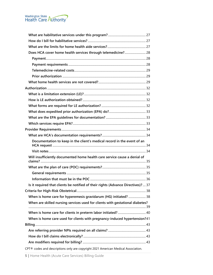

| Does HCA cover home health services through telemedicine? 28                                                       |  |
|--------------------------------------------------------------------------------------------------------------------|--|
|                                                                                                                    |  |
|                                                                                                                    |  |
|                                                                                                                    |  |
|                                                                                                                    |  |
|                                                                                                                    |  |
|                                                                                                                    |  |
|                                                                                                                    |  |
|                                                                                                                    |  |
|                                                                                                                    |  |
|                                                                                                                    |  |
|                                                                                                                    |  |
|                                                                                                                    |  |
|                                                                                                                    |  |
|                                                                                                                    |  |
| Documentation to keep in the client's medical record in the event of an                                            |  |
|                                                                                                                    |  |
| Will insufficiently documented home health care service cause a denial of                                          |  |
|                                                                                                                    |  |
|                                                                                                                    |  |
|                                                                                                                    |  |
|                                                                                                                    |  |
| Is it required that clients be notified of their rights (Advance Directives)?  37                                  |  |
|                                                                                                                    |  |
| When is home care for hyperemesis gravidarum (HG) initiated?  38                                                   |  |
| When are skilled nursing services used for clients with gestational diabetes?                                      |  |
|                                                                                                                    |  |
|                                                                                                                    |  |
| When is home care used for clients with pregnancy-induced hypertension?41                                          |  |
|                                                                                                                    |  |
|                                                                                                                    |  |
|                                                                                                                    |  |
|                                                                                                                    |  |
| $\mathbf{r}$ and $\mathbf{r}$ and $\mathbf{r}$ and $\mathbf{r}$ and $\mathbf{r}$ and $\mathbf{r}$ and $\mathbf{r}$ |  |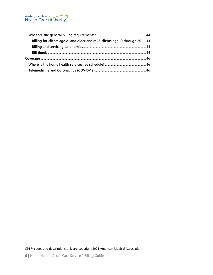

| Billing for clients age 21 and older and MCS clients age 19 through 20  44 |  |
|----------------------------------------------------------------------------|--|
|                                                                            |  |
|                                                                            |  |
|                                                                            |  |
|                                                                            |  |
|                                                                            |  |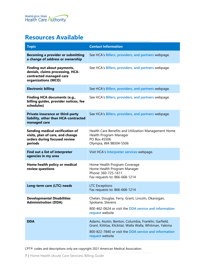# <span id="page-6-0"></span>**Resources Available**

| <b>Topic</b>                                                                                                      | <b>Contact Information</b>                                                                                                                                                                   |
|-------------------------------------------------------------------------------------------------------------------|----------------------------------------------------------------------------------------------------------------------------------------------------------------------------------------------|
| <b>Becoming a provider or submitting</b><br>a change of address or ownership                                      | See HCA's Billers, providers, and partners webpage.                                                                                                                                          |
| Finding out about payments,<br>denials, claims processing, HCA-<br>contracted managed care<br>organizations (MCO) | See HCA's Billers, providers, and partners webpage.                                                                                                                                          |
| <b>Electronic billing</b>                                                                                         | See HCA's Billers, providers, and partners webpage.                                                                                                                                          |
| <b>Finding HCA documents (e.g.,</b><br>billing guides, provider notices, fee<br>schedules)                        | See HCA's Billers, providers, and partners webpage.                                                                                                                                          |
| Private insurance or third-party<br>liability, other than HCA-contracted<br>managed care                          | See HCA's Billers, providers, and partners webpage.                                                                                                                                          |
| Sending medical verification of<br>visits, plan of care, and change<br>orders during focused review<br>periods    | Health Care Benefits and Utilization Management Home<br>Health Program Manager<br>PO Box 45506<br>Olympia, WA 98504-5506                                                                     |
| Find out a list of interpreter<br>agencies in my area                                                             | Visit HCA's Interpreter services webpage.                                                                                                                                                    |
| Home health policy or medical<br>review questions                                                                 | Home Health Program Coverage<br>Home Health Program Manager<br>Phone: 360-725-1611<br>Fax requests to: 866-668-1214                                                                          |
| Long-term care (LTC) needs                                                                                        | <b>LTC Exceptions</b><br>Fax requests to: 866-668-1214                                                                                                                                       |
| <b>Developmental Disabilities</b><br><b>Administration (DDA)</b>                                                  | Chelan, Douglas, Ferry, Grant, Lincoln, Okanogan,<br>Spokane, Stevens<br>800-462-0624 or visit the DDA service and information<br>request website                                            |
| <b>DDA</b>                                                                                                        | Adams, Asotin, Benton, Columbia, Franklin, Garfield,<br>Grant, Kittitas, Klickitat, Walla Walla, Whitman, Yakima<br>800-822-7840 or visit the DDA service and information<br>request website |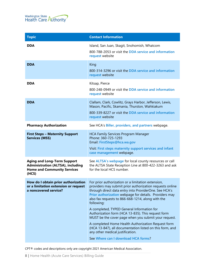

| <b>Contact Information</b>                                                                                                                                                                                                                                                                                                                                                                                                                                                                                                                                                                                                                                    |
|---------------------------------------------------------------------------------------------------------------------------------------------------------------------------------------------------------------------------------------------------------------------------------------------------------------------------------------------------------------------------------------------------------------------------------------------------------------------------------------------------------------------------------------------------------------------------------------------------------------------------------------------------------------|
| Island, San Juan, Skagit, Snohomish, Whatcom<br>800-788-2053 or visit the DDA service and information<br>request website                                                                                                                                                                                                                                                                                                                                                                                                                                                                                                                                      |
| King<br>800-314-3296 or visit the DDA service and information<br>request website                                                                                                                                                                                                                                                                                                                                                                                                                                                                                                                                                                              |
| Kitsap, Pierce<br>800-248-0949 or visit the DDA service and information<br>request website                                                                                                                                                                                                                                                                                                                                                                                                                                                                                                                                                                    |
| Clallam, Clark, Cowlitz, Grays Harbor, Jefferson, Lewis,<br>Mason, Pacific, Skamania, Thurston, Wahkiakum<br>800-339-8227 or visit the DDA service and information<br>request website                                                                                                                                                                                                                                                                                                                                                                                                                                                                         |
| See HCA's Biller, providers, and partners webpage.                                                                                                                                                                                                                                                                                                                                                                                                                                                                                                                                                                                                            |
| <b>HCA Family Services Program Manager</b><br>Phone: 360-725-1293<br>Email: FirstSteps@hca.wa.gov<br>Visit: First steps maternity support services and infant<br>case management webpage.                                                                                                                                                                                                                                                                                                                                                                                                                                                                     |
| See ALTSA's webpage for local county resources or call<br>the ALTSA State Reception Line at 800-422-3263 and ask<br>for the local HCS number.                                                                                                                                                                                                                                                                                                                                                                                                                                                                                                                 |
| For prior authorization or a limitation extension,<br>providers may submit prior authorization requests online<br>through direct data entry into ProviderOne. See HCA's<br>Prior authorization webpage for details. Providers may<br>also fax requests to 866-668-1214, along with the<br>following:<br>A completed, TYPED General Information for<br>Authorization form (HCA 13-835). This request form<br>MUST be the cover page when you submit your request.<br>A completed Home Health Authorization Request form<br>(HCA 13-847), all documentation listed on this form, and<br>any other medical justification.<br>See Where can I download HCA forms? |
|                                                                                                                                                                                                                                                                                                                                                                                                                                                                                                                                                                                                                                                               |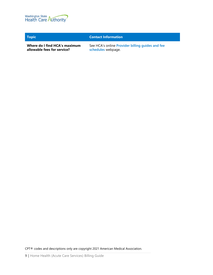

#### **Topic Contact Information**

**Where do I find HCA's maximum allowable fees for service?**

See HCA's online **[Provider billing guides and fee](http://www.hca.wa.gov/billers-providers/claims-and-billing/professional-rates-and-billing-guides)  [schedules](http://www.hca.wa.gov/billers-providers/claims-and-billing/professional-rates-and-billing-guides)** webpage.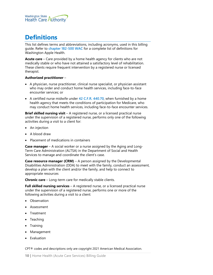

# <span id="page-9-0"></span>**Definitions**

This list defines terms and abbreviations, including acronyms, used in this billing guide. Refer to **[chapter 182-500 WAC](http://app.leg.wa.gov/WAC/default.aspx?cite=182-500)** for a complete list of definitions for Washington Apple Health.

**Acute care** – Care provided by a home health agency for clients who are not medically stable or who have not attained a satisfactory level of rehabilitation. These clients require frequent intervention by a registered nurse or licensed therapist.

#### **Authorized practitioner** –

- A physician, nurse practitioner, clinical nurse specialist, or physician assistant who may order and conduct home health services, including face-to-face encounter services; or
- A certified nurse midwife under **[42 C.F.R. 440.70](https://www.ecfr.gov/current/title-42/chapter-IV/subchapter-C/part-440/subpart-A/section-440.70)**, when furnished by a home health agency that meets the conditions of participation for Medicare, who may conduct home health services, including face-to-face encounter services.

**Brief skilled nursing visit** – A registered nurse, or a licensed practical nurse under the supervision of a registered nurse, performs only one of the following activities during a visit to a client for:

- An injection
- A blood draw
- Placement of medications in containers

**Case manager** – A social worker or a nurse assigned by the Aging and Long-Term Care Administration (ALTSA) in the Department of Social and Health Services to manage and coordinate the client's case.

**Case resource manager (CRM)** – A person assigned by the Developmental Disabilities Administration (DDA) to meet with the family, conduct an assessment, develop a plan with the client and/or the family, and help to connect to appropriate resources

**Chronic care** – Long-term care for medically stable clients.

**Full skilled nursing services** – A registered nurse, or a licensed practical nurse under the supervision of a registered nurse, performs one or more of the following activities during a visit to a client:

- Observation
- Assessment
- Treatment
- **Teaching**
- Training
- Management
- **Evaluation**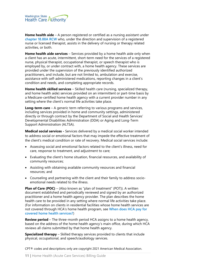

**Home health aide** – A person registered or certified as a nursing assistant under **[chapter 18.88A](https://app.leg.wa.gov/RCW/default.aspx?cite=18.88A) RCW** who, under the direction and supervision of a registered nurse or licensed therapist, assists in the delivery of nursing or therapy related activities, or both.

**Home health aide services** – Services provided by a home health aide only when a client has an acute, intermittent, short-term need for the services of a registered nurse, physical therapist, occupational therapist, or speech therapist who is employed by, or under contract with, a home health agency. These services are provided under the supervision of the previously identified authorized practitioners, and include, but are not limited to, ambulation and exercise, assistance with self-administered medications, reporting changes in a client's condition and needs, and completing appropriate records.

**Home health skilled services** – Skilled health care (nursing, specialized therapy, and home health aide) services provided on an intermittent or part-time basis by a Medicare-certified home health agency with a current provider number in any setting where the client's normal life activities take place.

**Long-term care** – A generic term referring to various programs and services, including services provided in home and community settings, administered directly or through contract by the Department of Social and Health Services' Developmental Disabilities Administration (DDA) or Aging and Long-Term Support Administration (ALTSA).

**Medical social services -** Services delivered by a medical social worker intended to address social or emotional factors that may impede the effective treatment of the client's medical condition or rate of recovery. Medical social services include:

- Assessing social and emotional factors related to the client's illness, need for care, response to treatment, and adjustment to care;
- Evaluating the client's home situation, financial resources, and availability of community resources;
- Assisting with obtaining available community resources and financial resources; and
- Counseling and partnering with the client and their family to address socioemotional needs related to the illness.

**Plan of Care (POC)** – (Also known as "plan of treatment" (POT)). A written document established and periodically reviewed and signed by an authorized practitioner and a home health agency provider. The plan describes the home health care to be provided in any setting where normal life activities take place. (For information on clients in residential facilities whose home health services are not covered through HCA's home health program, see **[When does HCA](#page-18-1) pay for [covered home health services?](#page-18-1)**)

**Review period** – The three-month period HCA assigns to a home health agency, based on the address of the home health agency's main office, during which HCA reviews all claims submitted by that home health agency.

**Specialized therapy** – Skilled therapy services provided to clients that include physical, occupational, and speech/audiology services.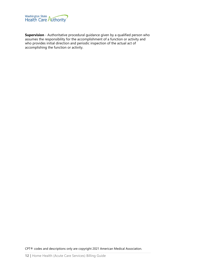

**Supervision** - Authoritative procedural guidance given by a qualified person who assumes the responsibility for the accomplishment of a function or activity and who provides initial direction and periodic inspection of the actual act of accomplishing the function or activity.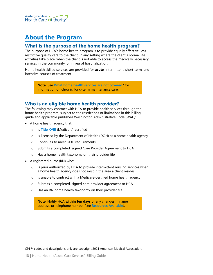

# <span id="page-12-0"></span>**About the Program**

### <span id="page-12-1"></span>**What is the purpose of the home health program?**

The purpose of HCA's home health program is to provide equally effective, less restrictive quality care to the client, in any setting where the client's normal life activities take place, when the client is not able to access the medically necessary services in the community, or in lieu of hospitalization.

Home health skilled services are provided for **acute**, intermittent, short-term, and intensive courses of treatment.

> **Note:** See **[What home health services are not covered](#page-28-2)**? for information on chronic, long-term maintenance care.

# <span id="page-12-2"></span>**Who is an eligible home health provider?**

The following may contract with HCA to provide health services through the home health program, subject to the restrictions or limitations in this billing guide and applicable published Washington Administrative Code (WAC):

- A home health agency that:
	- o Is **[Title XVIII](http://www.ssa.gov/OP_Home/ssact/title18/1800.htm)** (Medicare)-certified
	- o Is licensed by the Department of Health (DOH) as a home health agency
	- o Continues to meet DOH requirements
	- o Submits a completed, signed Core Provider Agreement to HCA
	- o Has a home health taxonomy on their provider file
- A registered nurse (RN) who:
	- o Is prior authorized by HCA to provide intermittent nursing services when a home health agency does not exist in the area a client resides
	- o Is unable to contract with a Medicare-certified home health agency
	- o Submits a completed, signed core provider agreement to HCA
	- o Has an RN home health taxonomy on their provider file

**Note**: Notify HCA **within ten days** of any changes in name, address, or telephone number (see **[Resources Available](#page-6-0)**).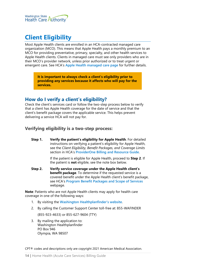

# <span id="page-13-0"></span>**Client Eligibility**

Most Apple Health clients are enrolled in an HCA-contracted managed care organization (MCO). This means that Apple Health pays a monthly premium to an MCO for providing preventative, primary, specialty, and other health services to Apple Health clients. Clients in managed care must see only providers who are in their MCO's provider network, unless prior authorized or to treat urgent or emergent care. See HCA's **[Apple Health managed care page](https://www.hca.wa.gov/node/831)** for further details.

> **It is important to always check a client's eligibility prior to providing any services because it affects who will pay for the services.**

# <span id="page-13-1"></span>**How do I verify a client's eligibility?**

Check the client's services card or follow the two-step process below to verify that a client has Apple Health coverage for the date of service and that the client's benefit package covers the applicable service. This helps prevent delivering a service HCA will not pay for.

#### <span id="page-13-2"></span>**Verifying eligibility is a two-step process:**

**Step 1. Verify the patient's eligibility for Apple Health**. For detailed instructions on verifying a patient's eligibility for Apple Health, see the *Client Eligibility, Benefit Packages, and Coverage Limits* section in HCA's **[ProviderOne Billing and Resource Guide](http://www.hca.wa.gov/node/311)**.

> If the patient is eligible for Apple Health, proceed to **Step 2**. If the patient is **not** eligible, see the note box below.

**Step 2. Verify service coverage under the Apple Health client's benefit package**. To determine if the requested service is a covered benefit under the Apple Health client's benefit package, see HCA's **[Program Benefit Packages and Scope of Services](http://www.hca.wa.gov/node/2391)** webpage.

**Note**: Patients who are not Apple Health clients may apply for health care coverage in one of the following ways:

- 1. By visiting the **[Washington Healthplanfinder's website](http://www.wahealthplanfinder.org/)**.
- 2. By calling the Customer Support Center toll-free at: 855-WAFINDER

(855-923-4633) or 855-627-9604 (TTY)

3. By mailing the application to: Washington Healthplanfinder PO Box 946 Olympia, WA 98507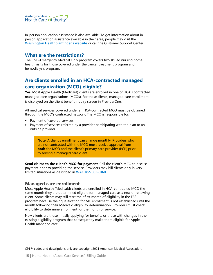

In-person application assistance is also available. To get information about inperson application assistance available in their area, people may visit the **[Washington Healthplanfinder's website](http://www.wahealthplanfinder.org/)** or call the Customer Support Center.

### <span id="page-14-0"></span>**What are the restrictions?**

The CNP–Emergency Medical Only program covers two skilled nursing home health visits for those covered under the cancer treatment program and hemodialysis program.

# <span id="page-14-1"></span>**Are clients enrolled in an HCA-contracted managed care organization (MCO) eligible?**

**Yes**. Most Apple Health (Medicaid) clients are enrolled in one of HCA's contracted managed care organizations (MCOs). For these clients, managed care enrollment is displayed on the client benefit inquiry screen in ProviderOne.

All medical services covered under an HCA-contracted MCO must be obtained through the MCO's contracted network. The MCO is responsible for:

- Payment of covered services
- Payment of services referred by a provider participating with the plan to an outside provider

**Note**: A client's enrollment can change monthly. Providers who are not contracted with the MCO must receive approval from **both** the MCO and the client's primary care provider (PCP) prior to serving a managed care client.

**Send claims to the client's MCO for payment**. Call the client's MCO to discuss payment prior to providing the service. Providers may bill clients only in very limited situations as described in **[WAC 182-502-0160](http://apps.leg.wa.gov/wac/default.aspx?cite=182-502-0160)**.

#### <span id="page-14-2"></span>**Managed care enrollment**

Most Apple Health (Medicaid) clients are enrolled in HCA-contracted MCO the same month they are determined eligible for managed care as a new or renewing client. Some clients may still start their first month of eligibility in the FFS program because their qualification for MC enrollment is not established until the month following their Medicaid eligibility determination. Providers must check eligibility to determine enrollment for the month of service.

New clients are those initially applying for benefits or those with changes in their existing eligibility program that consequently make them eligible for Apple Health managed care.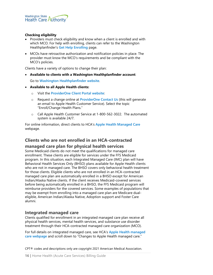#### **Checking eligibility**

- Providers must check eligibility and know when a client is enrolled and with which MCO. For help with enrolling, clients can refer to the Washington Healthplanfinder's **[Get Help Enrolling](https://www.wahbexchange.org/new-customers/application-quick-tips/customer-support-network/)** page.
- MCOs have retroactive authorization and notification policies in place. The provider must know the MCO's requirements and be compliant with the MCO's policies.

Clients have a variety of options to change their plan:

• **Available to clients with a Washington Healthplanfinder account**:

Go to **[Washington Healthplanfinder website](http://www.wahealthplanfinder.org/)**.

- **Available to all Apple Health clients:**
	- o Visit the **[ProviderOne Client Portal website](https://www.providerone.wa.gov/)**:
	- o Request a change online at **[ProviderOne Contact Us](https://fortress.wa.gov/hca/p1contactus)** (this will generate an email to Apple Health Customer Service). Select the topic "Enroll/Change Health Plans."
	- o Call Apple Health Customer Service at 1-800-562-3022. The automated system is available 24/7.

For online information, direct clients to HCA's **[Apple Health Managed](https://www.hca.wa.gov/node/2446) Care** webpage.

# <span id="page-15-0"></span>**Clients who are not enrolled in an HCA-contracted**

### **managed care plan for physical health services**

Some Medicaid clients do not meet the qualifications for managed care enrollment. These clients are eligible for services under the FFS Medicaid program. In this situation, each Integrated Managed Care (IMC) plan will have Behavioral Health Services Only (BHSO) plans available for Apple Health clients who are not in managed care. The BHSO covers only behavioral health treatment for those clients. Eligible clients who are not enrolled in an HCA-contracted managed care plan are automatically enrolled in a BHSO except for American Indian/Alaska Native clients. If the client receives Medicaid-covered services before being automatically enrolled in a BHSO, the FFS Medicaid program will reimburse providers for the covered services. Some examples of populations that may be exempt from enrolling into a managed care plan are Medicare dualeligible, American Indian/Alaska Native, Adoption support and Foster Care alumni.

#### <span id="page-15-1"></span>**Integrated managed care**

Clients qualified for enrollment in an integrated managed care plan receive all physical health services, mental health services, and substance use disorder treatment through their HCA-contracted managed care organization (MCO).

For full details on integrated managed care, see HCA's **[Apple Health managed](https://hca.wa.gov/node/831)  [care webpage](https://hca.wa.gov/node/831)** and scroll down to "Changes to Apple Health managed care."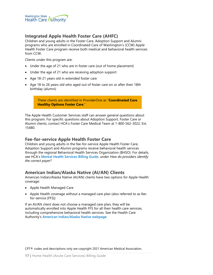

### <span id="page-16-1"></span>**Integrated Apple Health Foster Care (AHFC)**

Children and young adults in the Foster Care, Adoption Support and Alumni programs who are enrolled in Coordinated Care of Washington's (CCW) Apple Health Foster Care program receive both medical and behavioral health services from CCW.

Clients under this program are:

- Under the age of 21 who are in foster care (out of home placement)
- Under the age of 21 who are receiving adoption support
- Age 18-21 years old in extended foster care
- Age 18 to 26 years old who aged out of foster care on or after their 18th birthday (alumni)

These clients are identified in ProviderOne as "**Coordinated Care Healthy Options Foster Care**."

The Apple Health Customer Services staff can answer general questions about this program. For specific questions about Adoption Support, Foster Care or Alumni clients, contact HCA's Foster Care Medical Team at 1-800-562-3022, Ext. 15480.

#### <span id="page-16-2"></span>**Fee-for-service Apple Health Foster Care**

Children and young adults in the fee-for-service Apple Health Foster Care, Adoption Support and Alumni programs receive behavioral health services through the regional Behavioral Health Services Organization (BHSO). For details, see HCA's **[Mental Health Services Billing Guide](https://www.hca.wa.gov/node/301)**, under *How do providers identify the correct payer*?

#### <span id="page-16-0"></span>**American Indian/Alaska Native (AI/AN) Clients**

American Indian/Alaska Native (AI/AN) clients have two options for Apple Health coverage:

- Apple Health Managed Care
- Apple Health coverage without a managed care plan (also referred to as feefor-service [FFS])

If an AI/AN client does not choose a managed care plan, they will be automatically enrolled into Apple Health FFS for all their health care services, including comprehensive behavioral health services. See the Health Care Authority's **[American Indian/Alaska Native webpage](https://www.hca.wa.gov/node/826)**.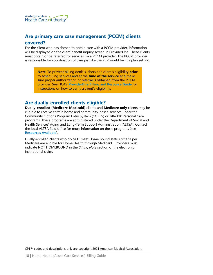

# <span id="page-17-0"></span>**Are primary care case management (PCCM) clients covered?**

For the client who has chosen to obtain care with a PCCM provider, information will be displayed on the client benefit inquiry screen in ProviderOne. These clients must obtain or be referred for services via a PCCM provider. The PCCM provider is responsible for coordination of care just like the PCP would be in a plan setting.

**Note**: To prevent billing denials, check the client's eligibility **prior** to scheduling services and at the **time of the service** and make sure proper authorization or referral is obtained from the PCCM provider. See HCA's **[ProviderOne Billing and Resource Guide](http://www.hca.wa.gov/node/311)** for instructions on how to verify a client's eligibility.

# <span id="page-17-1"></span>**Are dually-enrolled clients eligible?**

**Dually-enrolled (Medicare-Medicaid)** clients and **Medicare only** clients may be eligible to receive certain home and community-based services under the Community Options Program Entry System (COPES) or Title XIX Personal Care programs. These programs are administered under the Department of Social and Health Services' Aging and Long-Term Support Administration (ALTSA). Contact the local ALTSA field office for more information on these programs (see **[Resources Available](#page-6-0)**).

Dually-enrolled clients who do NOT meet Home Bound status criteria per Medicare are eligible for Home Health through Medicaid. Providers must indicate NOT HOMEBOUND in the *Billing Note* section of the electronic institutional claim.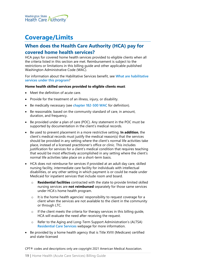

# <span id="page-18-0"></span>**Coverage/Limits**

# <span id="page-18-1"></span>**When does the Health Care Authority (HCA) pay for covered home health services?**

HCA pays for covered home health services provided to eligible clients when all the criteria listed in this section are met. Reimbursement is subject to the restrictions or limitations in this billing guide and other applicable published Washington Administrative Code (WAC).

For information about the Habilitative Services benefit, see **[What are habilitative](#page-25-3)  [services under this program](#page-25-3)**?

#### **Home health skilled services provided to eligible clients must**:

- Meet the definition of acute care.
- Provide for the treatment of an illness, injury, or disability.
- Be medically necessary (see **[chapter 182-500 WAC](http://app.leg.wa.gov/WAC/default.aspx?cite=182-500)** for definition).
- Be reasonable, based on the community standard of care, in amount, duration, and frequency.
- Be provided under a plan of care (POC). Any statement in the POC must be supported by documentation in the client's medical records.
- Be used to prevent placement in a more restrictive setting. **In addition**, the client's medical records must justify the medical reason(s) that the services should be provided in any setting where the client's normal life activities take place, instead of a licensed practitioner's office or clinic. This includes justification for services for a client's medical condition that requires teaching that would be most effectively accomplished in any setting where the client's normal life activities take place on a short-term basis.
- HCA does not reimburse for services if provided at an adult day care, skilled nursing facility, intermediate care facility for individuals with intellectual disabilities, or any other setting in which payment is or could be made under Medicaid for inpatient services that include room and board.
	- o **Residential facilities** contracted with the state to provide limited skilled nursing services are **not reimbursed** separately for those same services under HCA's home health program.
	- $\circ$  It is the home health agencies' responsibility to request coverage for a client when the services are not available to the client in the community or through LTC.
	- o If the client meets the criteria for therapy services in this billing guide, HCA will evaluate the need after receiving the request.
	- o Refer to the Aging and Long-Term Support Administration's (ALTSA) **[Residential Care Services](https://www.dshs.wa.gov/altsa/residential-care-services/residential-care-services)** webpage for more information.
- Be provided by a home health agency that is Title XVIII (Medicare) certified and state-licensed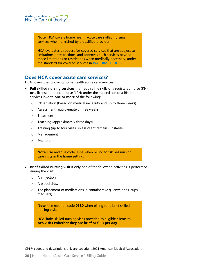

**Note:** HCA covers home health acute care skilled nursing services when furnished by a qualified provider.

HCA evaluates a request for covered services that are subject to limitations or restrictions, and approves such services beyond those limitations or restrictions when medically necessary, under the standard for covered services in **[WAC 182-501-0165](http://apps.leg.wa.gov/wac/default.aspx?cite=182-501-0165)**.

### <span id="page-19-0"></span>**Does HCA cover acute care services?**

HCA covers the following home health acute care services:

- **Full skilled nursing services** that require the skills of a registered nurse (RN) **or** a licensed practical nurse (LPN) under the supervision of a RN, if the services involve **one or more** of the following:
	- o Observation (based on medical necessity and up to three weeks)
	- o Assessment (approximately three weeks)
	- o Treatment
	- o Teaching (approximately three days)
	- o Training (up to four visits unless client remains unstable)
	- o Management
	- o Evaluation

**Note**: Use revenue code **0551** when billing for skilled nursing care visits in the home setting.

- **Brief skilled nursing visit** if only one of the following activities is performed during the visit:
	- o An injection
	- o A blood draw
	- o The placement of medications in containers (e.g., envelopes, cups, medisets)

**Note**: Use revenue code **0580** when billing for a brief skilled nursing visit.

HCA limits skilled nursing visits provided to eligible clients to **two visits (whether they are brief or full) per day**.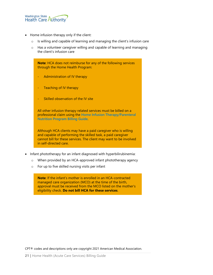

- Home infusion therapy only if the client:
	- o Is willing and capable of learning and managing the client's infusion care
	- o Has a volunteer caregiver willing and capable of learning and managing the client's infusion care

**Note**: HCA does not reimburse for any of the following services through the Home Health Program:

- Administration of IV therapy
- Teaching of IV therapy
- Skilled observation of the IV site

All other infusion therapy related services must be billed on a professional claim using the **[Home Infusion Therapy/Parenteral](http://www.hca.wa.gov/node/301)  [Nutrition Program Billing Guide](http://www.hca.wa.gov/node/301)**.

Although HCA clients may have a paid caregiver who is willing and capable of performing the skilled task, a paid caregiver cannot bill for these services. The client may want to be involved in self-directed care.

- Infant phototherapy for an infant diagnosed with hyperbilirubinemia:
	- o When provided by an HCA-approved infant phototherapy agency
	- o For up to five skilled nursing visits per infant

**Note**: If the infant's mother is enrolled in an HCA-contracted managed care organization (MCO) at the time of the birth, approval must be received from the MCO listed on the mother's eligibility check. **Do not bill HCA for these services**.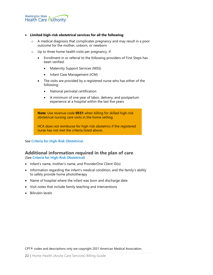

#### • **Limited high-risk obstetrical services for all the following**:

- o A medical diagnosis that complicates pregnancy and may result in a poor outcome for the mother, unborn, or newborn
- o Up to three home health visits per pregnancy, if:
	- Enrollment in or referral to the following providers of First Steps has been verified:
		- Maternity Support Services (MSS)
		- Infant Case Management (ICM)
	- The visits are provided by a registered nurse who has either of the following:
		- National perinatal certification
		- A minimum of one year of labor, delivery, and postpartum experience at a hospital within the last five years

**Note**: Use revenue code **0551** when billing for skilled high-risk obstetrical nursing care visits in the home setting.

HCA does not reimburse for high-risk obstetrics if the registered nurse has not met the criteria listed above.

<span id="page-21-0"></span>See **[Criteria for High-Risk Obstetrical](#page-37-0)**.

#### **Additional information required in the plan of care**

(See **[Criteria for High-Risk Obstetrical](#page-37-0)**)

- Infant's name, mother's name, and ProviderOne Client ID(s)
- Information regarding the infant's medical condition, and the family's ability to safely provide home phototherapy
- Name of hospital where the infant was born and discharge date
- Visit notes that include family teaching and interventions
- Bilirubin levels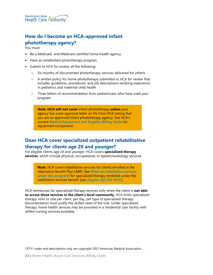

# <span id="page-22-0"></span>**How do I become an HCA-approved infant phototherapy agency?**

You must:

- Be a Medicaid- and Medicare-certified home health agency.
- Have an established phototherapy program.
- Submit to HCA for review, all the following:
	- o Six months of documented phototherapy services delivered for infants
	- o A written policy for home phototherapy submitted to HCA for review that includes guidelines, procedures, and job descriptions verifying experience in pediatrics and maternal child health
	- o Three letters of recommendation from pediatricians who have used your program

**Note**: **HCA will not cover** infant phototherapy **unless** your agency has a pre-approval letter on file from HCA noting that you are an approved infant phototherapy agency. See HCA's current **[Medical Equipment and Supplies Billing Guide](http://www.hca.wa.gov/node/301)** for equipment component.

# <span id="page-22-1"></span>**Does HCA cover specialized outpatient rehabilitative therapy for clients age 20 and younger?**

For eligible clients age 20 and younger, HCA covers **specialized therapy services**, which include physical, occupational, or speech/audiology services.

> **Note**: HCA covers habilitative services for clients enrolled in the Alternative Benefit Plan (ABP). See **[What are habilitative services](#page-25-3)  [under this program](#page-25-3)**? for specialized therapy rendered under the habilitative services benefit (see **chapter [182-545](http://apps.leg.wa.gov/wac/default.aspx?cite=182-545) WAC**).

HCA reimburses for specialized therapy services only when the client is **not able to access these services in the client's local community**. HCA limits specialized therapy visits to one per client, per day, per type of specialized therapy. Documentation must justify the skilled need of the visit. Under specialized therapy, home health services may be provided in a residential care facility with skilled nursing services available.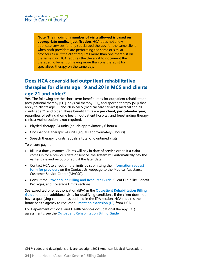**Note**: **The maximum number of visits allowed is based on appropriate medical justification**. HCA does not allow duplicate services for any specialized therapy for the same client when both providers are performing the same or similar procedure (s). If the client requires more than one therapist on the same day, HCA requires the therapist to document the therapeutic benefit of having more than one therapist for specialized therapy on the same day.

# <span id="page-23-1"></span>**Does HCA cover skilled outpatient rehabilitative therapies for clients age 19 and 20 in MCS and clients age 21 and older?**

**Yes**. The following are the short-term benefit limits for outpatient rehabilitation (occupational therapy [OT], physical therapy [PT], and speech therapy [ST]) that apply to clients age 19 and 20 in MCS (medical care services) medical and all clients age 21 and older. These benefit limits are **per client, per calendar year**, regardless of setting (home health, outpatient hospital, and freestanding therapy clinics.) Authorization is not required.

- Physical therapy: 24 units (equals approximately 6 hours)
- Occupational therapy: 24 units (equals approximately 6 hours)
- Speech therapy: 6 units (equals a total of 6 untimed visits)

To ensure payment:

- Bill in a timely manner. Claims will pay in date of service order. If a claim comes in for a previous date of service, the system will automatically pay the earlier date and recoup or adjust the later date.
- Contact HCA to check on the limits by submitting the **[information request](https://fortress.wa.gov/hca/p1contactus/)  [form for providers](https://fortress.wa.gov/hca/p1contactus/)** on the Contact Us webpage to the Medical Assistance Customer Service Center (MACSC).
- Consult the **[ProviderOne Billing and Resource Guide](http://www.hca.wa.gov/node/311)**: Client Eligibility, Benefit Packages, and Coverage Limits sections.

See expedited prior authorization (EPA) in the **[Outpatient Rehabilitation Billing](https://www.hca.wa.gov/node/301)  [Guide](https://www.hca.wa.gov/node/301)** to obtain additional visits for qualifying conditions. If the client does not have a qualifying condition as outlined in the EPA section, HCA requires the home health agency to request a **[limitation extension \(LE\)](#page-31-1)** from HCA.

<span id="page-23-0"></span>For Department of Social and Health Services occupational therapy (OT) assessments, see the **[Outpatient Rehabilitation Billing Guide](https://www.hca.wa.gov/node/301)**.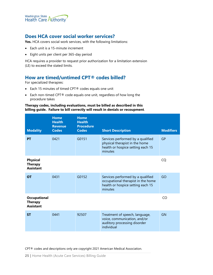

# <span id="page-24-0"></span>**Does HCA cover social worker services?**

**Yes.** HCA covers social work services, with the following limitations:

- Each unit is a 15-minute increment
- Eight units per client per 365-day period

HCA requires a provider to request prior authorization for a limitation extension (LE) to exceed the stated limits.

# <span id="page-24-1"></span>**How are timed/untimed CPT® codes billed?**

For specialized therapies:

- Each 15 minutes of timed CPT® codes equals one unit
- Each non-timed CPT® code equals one unit, regardless of how long the procedure takes

#### **Therapy codes, including evaluations, must be billed as described in this billing guide. Failure to bill correctly will result in denials or recoupment**.

| <b>Modality</b>                                           | <b>Home</b><br><b>Health</b><br><b>Revenue</b><br><b>Codes</b> | <b>Home</b><br><b>Health</b><br><b>Procedure</b><br><b>Codes</b> | <b>Short Description</b>                                                                                                | <b>Modifiers</b> |
|-----------------------------------------------------------|----------------------------------------------------------------|------------------------------------------------------------------|-------------------------------------------------------------------------------------------------------------------------|------------------|
| <b>PT</b>                                                 | 0421                                                           | G0151                                                            | Services performed by a qualified<br>physical therapist in the home<br>health or hospice setting each 15<br>minutes     | <b>GP</b>        |
| <b>Physical</b><br><b>Therapy</b><br><b>Assistant</b>     |                                                                |                                                                  |                                                                                                                         | CQ               |
| <b>OT</b>                                                 | 0431                                                           | G0152                                                            | Services performed by a qualified<br>occupational therapist in the home<br>health or hospice setting each 15<br>minutes | GO               |
| <b>Occupational</b><br><b>Therapy</b><br><b>Assistant</b> |                                                                |                                                                  |                                                                                                                         | CO               |
| <b>ST</b>                                                 | 0441                                                           | 92507                                                            | Treatment of speech, language,<br>voice, communication, and/or<br>auditory processing disorder<br>individual            | <b>GN</b>        |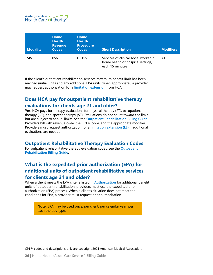

| <b>Modality</b> | <b>Home</b><br><b>Health</b><br><b>Revenue</b><br><b>Codes</b> | <b>Home</b><br><b>Health</b><br><b>Procedure</b><br><b>Codes</b> | <b>Short Description</b>                                                                     | <b>Modifiers</b> |
|-----------------|----------------------------------------------------------------|------------------------------------------------------------------|----------------------------------------------------------------------------------------------|------------------|
| <b>SW</b>       | 0561                                                           | G0155                                                            | Services of clinical social worker in<br>home health or hospice settings,<br>each 15 minutes | AJ               |

If the client's outpatient rehabilitation services maximum benefit limit has been reached (initial units and any additional EPA units, when appropriate), a provider may request authorization for a **[limitation extension](#page-31-2)** from HCA.

# <span id="page-25-0"></span>**Does HCA pay for outpatient rehabilitative therapy evaluations for clients age 21 and older?**

**Yes**. HCA pays for therapy evaluations for physical therapy (PT), occupational therapy (OT), and speech therapy (ST). Evaluations do not count toward the limit but are subject to annual limits. See the **[Outpatient Rehabilitation Billing Guide](https://www.hca.wa.gov/node/301)**. Providers bill with revenue code, the CPT® code, and the appropriate modifier. Providers must request authorization for a **[limitation extension \(LE\)](#page-31-3)** if additional evaluations are needed.

# <span id="page-25-1"></span>**Outpatient Rehabilitative Therapy Evaluation Codes**

For outpatient rehabilitative therapy evaluation codes, see the **[Outpatient](https://www.hca.wa.gov/node/301)  [Rehabilitation Billing Guide](https://www.hca.wa.gov/node/301)**.

# <span id="page-25-2"></span>**What is the expedited prior authorization (EPA) for additional units of outpatient rehabilitative services for clients age 21 and older?**

When a client meets the EPA criteria listed in **[Authorization](#page-31-0)** for additional benefit units of outpatient rehabilitation, providers must use the expedited prior authorization (EPA) process. When a client's situation does not meet the conditions for EPA, a provider must request prior authorization.

<span id="page-25-3"></span>**Note:** EPA may be used once, per client, per calendar year, per each therapy type.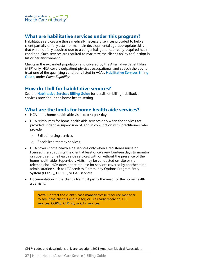

### <span id="page-26-0"></span>**What are habilitative services under this program?**

Habilitative services are those medically necessary services provided to help a client partially or fully attain or maintain developmental age-appropriate skills that were not fully acquired due to a congenital, genetic, or early-acquired health condition. Such services are required to maximize the client's ability to function in his or her environment.

Clients in the expanded population and covered by the Alternative Benefit Plan (ABP) only, HCA covers outpatient physical, occupational, and speech therapy to treat one of the qualifying conditions listed in HCA's **[Habilitative Services Billing](http://www.hca.wa.gov/node/301)  [Guide](http://www.hca.wa.gov/node/301)**, under *Client Eligibility*.

# <span id="page-26-1"></span>**How do I bill for habilitative services?**

See the **[Habilitative Services Billing Guide](http://www.hca.wa.gov/node/301)** for details on billing habilitative services provided in the home health setting.

# <span id="page-26-2"></span>**What are the limits for home health aide services?**

- HCA limits home health aide visits to **one per day**.
- HCA reimburses for home health aide services only when the services are provided under the supervision of, and in conjunction with, practitioners who provide:
	- o Skilled nursing services
	- Specialized therapy services
- HCA covers home health aide services only when a registered nurse or licensed therapist visits the client at least once every fourteen days to monitor or supervise home health aide services, with or without the presence of the home health aide. Supervisory visits may be conducted on-site or via telemedicine. HCA does not reimburse for services covered by another state administration such as LTC services, Community Options Program Entry System (COPES), CHORE, or CAP services.
- Documentation in the client's file must justify the need for the home health aide visits.

**Note**: Contact the client's case manager/case resource manager to see if the client is eligible for, or is already receiving, LTC services, COPES, CHORE, or CAP services.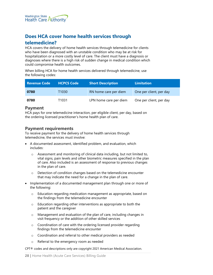# <span id="page-27-0"></span>**Does HCA cover home health services through telemedicine?**

HCA covers the delivery of home health services through telemedicine for clients who have been diagnosed with an unstable condition who may be at risk for hospitalization or a more costly level of care. The client must have a diagnosis or diagnoses where there is a high risk of sudden change in medical condition which could compromise health outcomes.

When billing HCA for home health services delivered through telemedicine, use the following codes:

| . Revenue Code ' | <b>HCPCS Code</b> | <b>Short Description</b> | <b>Limitation</b>       |
|------------------|-------------------|--------------------------|-------------------------|
| 0780             | T <sub>1030</sub> | RN home care per diem    | One per client, per day |
| 0780             | T <sub>1031</sub> | LPN home care per diem   | One per client, per day |

#### <span id="page-27-1"></span>**Payment**

HCA pays for one telemedicine interaction, per eligible client, per day, based on the ordering licensed practitioner's home health plan of care.

# <span id="page-27-2"></span>**Payment requirements**

To receive payment for the delivery of home health services through telemedicine, the services must involve:

- A documented assessment, identified problem, and evaluation, which includes:
	- o Assessment and monitoring of clinical data including, but not limited to, vital signs, pain levels and other biometric measures specified in the plan of care. Also included is an assessment of response to previous changes in the plan of care.
	- o Detection of condition changes based on the telemedicine encounter that may indicate the need for a change in the plan of care.
- Implementation of a documented management plan through one or more of the following:
	- o Education regarding medication management as appropriate, based on the findings from the telemedicine encounter
	- o Education regarding other interventions as appropriate to both the patient and the caregiver
	- o Management and evaluation of the plan of care, including changes in visit frequency or the addition of other skilled services
	- o Coordination of care with the ordering licensed provider regarding findings from the telemedicine encounter
	- o Coordination and referral to other medical providers as needed
	- o Referral to the emergency room as needed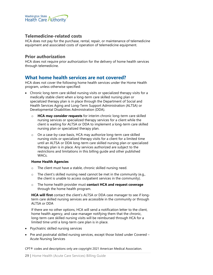

#### <span id="page-28-0"></span>**Telemedicine-related costs**

HCA does not pay for the purchase, rental, repair, or maintenance of telemedicine equipment and associated costs of operation of telemedicine equipment.

#### <span id="page-28-1"></span>**Prior authorization**

HCA does not require prior authorization for the delivery of home health services through telemedicine.

### <span id="page-28-2"></span>**What home health services are not covered?**

HCA does not cover the following home health services under the Home Health program, unless otherwise specified:

- Chronic long-term care skilled nursing visits or specialized therapy visits for a medically stable client when a long-term care skilled nursing plan or specialized therapy plan is in place through the Department of Social and Health Services Aging and Long-Term Support Administration (ALTSA) or Developmental Disabilities Administration (DDA).
	- o **HCA may consider requests** for interim chronic long-term care skilled nursing services or specialized therapy services for a client while the client is waiting for ALTSA or DDA to implement a long-term care skilled nursing plan or specialized therapy plan.
	- o On a case-by-case basis, HCA may authorize long-term care skilled nursing visits or specialized therapy visits for a client for a limited time until an ALTSA or DDA long-term care skilled nursing plan or specialized therapy plan is in place. Any services authorized are subject to the restrictions and limitations in this billing guide and other published WACs.

#### **Home Health Agencies**

- o The client must have a stable, chronic skilled nursing need.
- o The client's skilled nursing need cannot be met in the community (e.g., the client is unable to access outpatient services in the community).
- o The home health provider must **contact HCA and request coverage** through the home health program.

**HCA will first** contact the client's ALTSA or DDA case manager to see if longterm care skilled nursing services are accessible in the community or through ALTSA or DDA

If there are no other options, HCA will send a notification letter to the client, home health agency, and case manager notifying them that the chronic, long-term care skilled nursing visits will be reimbursed through HCA for a limited time until a long-term care plan is in place.

- Psychiatric skilled nursing services
- Pre and postnatal skilled nursing services, except those listed under Covered Acute Nursing Services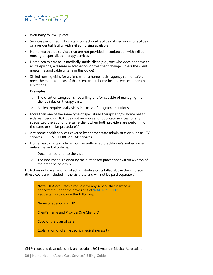

- Well-baby follow-up care
- Services performed in hospitals, correctional facilities, skilled nursing facilities, or a residential facility with skilled nursing available
- Home health aide services that are not provided in conjunction with skilled nursing or specialized therapy services
- Home health care for a medically stable client (e.g., one who does not have an acute episode, a disease exacerbation, or treatment change, unless the client meets the applicable criteria in this guide)
- Skilled nursing visits for a client when a home health agency cannot safely meet the medical needs of that client within home health services program limitations

#### **Examples:**

- o The client or caregiver is not willing and/or capable of managing the client's infusion therapy care.
- o A client requires daily visits in excess of program limitations.
- More than one of the same type of specialized therapy and/or home health aide visit per day. HCA does not reimburse for duplicate services for any specialized therapy for the same client when both providers are performing the same or similar procedure(s).
- Any home health services covered by another state administration such as LTC services, COPES, CHORE, or CAP services.
- Home health visits made without an authorized practitioner's written order, unless the verbal order is:
	- o Documented prior to the visit
	- o The document is signed by the authorized practitioner within 45 days of the order being given

HCA does not cover additional administrative costs billed above the visit rate (these costs are included in the visit rate and will not be paid separately).

> **Note:** HCA evaluates a request for any service that is listed as noncovered under the provisions of **[WAC 182-501-0165](http://apps.leg.wa.gov/wac/default.aspx?cite=182-501-0165)**. Requests must include the following:

Name of agency and NPI

Client's name and ProviderOne Client ID

Copy of the plan of care

Explanation of client-specific medical necessity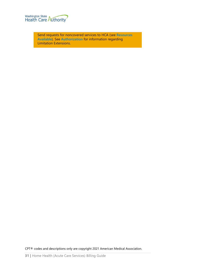

Send requests for noncovered services to HCA (see **[Resources](#page-6-0)  [Available](#page-6-0)**). See **[Authorization](#page-31-0)** for information regarding Limitation Extensions.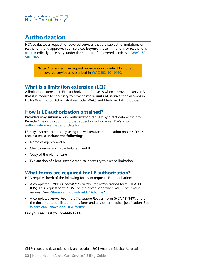

# <span id="page-31-0"></span>**Authorization**

HCA evaluates a request for covered services that are subject to limitations or restrictions, and approves such services **beyond** those limitations or restrictions when medically necessary, under the standard for covered services in **[WAC 182-](http://apps.leg.wa.gov/wac/default.aspx?cite=182-501-0165) [501-0165](http://apps.leg.wa.gov/wac/default.aspx?cite=182-501-0165)**.

> **Note**: A provider may request an exception to rule (ETR) for a noncovered service as described in **[WAC 182-501-0160](http://apps.leg.wa.gov/wac/default.aspx?cite=182-501-0160)**.

# <span id="page-31-1"></span>**What is a limitation extension (LE)?**

A limitation extension (LE) is authorization for cases when a provider can verify that it is medically necessary to provide **more units of service** than allowed in HCA's Washington Administrative Code (WAC) and Medicaid billing guides.

# <span id="page-31-2"></span>**How is LE authorization obtained?**

Providers may submit a prior authorization request by direct data entry into ProviderOne or by submitting the request in writing (see HCA's **[Prior](https://www.hca.wa.gov/billers-providers-partners/prior-authorization-claims-and-billing/prior-authorization-pa)  [authorization webpage](https://www.hca.wa.gov/billers-providers-partners/prior-authorization-claims-and-billing/prior-authorization-pa)** for details).

LE may also be obtained by using the written/fax authorization process. **Your request must include the following**:

- Name of agency and NPI
- Client's name and ProviderOne Client ID
- Copy of the plan of care
- Explanation of client-specific medical necessity to exceed limitation

# <span id="page-31-3"></span>**What forms are required for LE authorization?**

HCA requires **both** of the following forms to request LE authorization:

- A completed, TYPED *General Information for Authorization* form (HCA **13- 835**). This request form MUST be the cover page when you submit your request. See **[Where can I download HCA](#page-1-1) forms**?
- A completed *Home Health Authorization Request* form (HCA **13-847**), and all the documentation listed on this form and any other medical justification. See **[Where can I download HCA](#page-1-1) forms**?

**Fax your request to 866-668-1214**.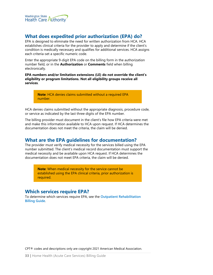

# <span id="page-32-0"></span>**What does expedited prior authorization (EPA) do?**

EPA is designed to eliminate the need for written authorization from HCA. HCA establishes clinical criteria for the provider to apply and determine if the client's condition is medically necessary and qualifies for additional services. HCA assigns each criteria-set a specific numeric code.

Enter the appropriate 9-digit EPA code on the billing form in the authorization number field, or in the **Authorization** or **Comments** field when billing electronically.

**EPA numbers and/or limitation extensions (LE) do not override the client's eligibility or program limitations. Not all eligibility groups receive all services**.

> **Note**: HCA denies claims submitted without a required EPA number.

HCA denies claims submitted without the appropriate diagnosis, procedure code, or service as indicated by the last three digits of the EPA number.

The billing provider must document in the client's file how EPA criteria were met and make this information available to HCA upon request. If HCA determines the documentation does not meet the criteria, the claim will be denied.

# <span id="page-32-1"></span>**What are the EPA guidelines for documentation?**

The provider must verify medical necessity for the services billed using the EPA number submitted. The client's medical record documentation must support the medical necessity and be available upon HCA request. If HCA determines the documentation does not meet EPA criteria, the claim will be denied.

> **Note**: When medical necessity for the service cannot be established using the EPA clinical criteria, prior authorization is required.

# <span id="page-32-2"></span>**Which services require EPA?**

To determine which services require EPA, see the **[Outpatient Rehabilitation](http://www.hca.wa.gov/node/301)  [Billing Guide](http://www.hca.wa.gov/node/301)**.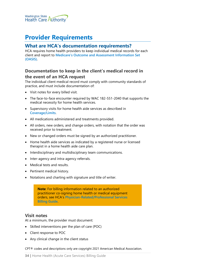

# <span id="page-33-0"></span>**Provider Requirements**

### <span id="page-33-1"></span>**What are HCA's documentation requirements?**

HCA requires home health providers to keep individual medical records for each client and report to **[Medicare's Outcome and Assessment Information Set](https://www.cms.gov/Medicare/Quality-Initiatives-Patient-Assessment-Instruments/HomeHealthQualityInits/OASIS-Data-Sets)  [\(OASIS\)](https://www.cms.gov/Medicare/Quality-Initiatives-Patient-Assessment-Instruments/HomeHealthQualityInits/OASIS-Data-Sets)**.

# <span id="page-33-2"></span>**Documentation to keep in the client's medical record in**

#### **the event of an HCA request**

The individual client medical record must comply with community standards of practice, and must include documentation of:

- Visit notes for every billed visit.
- The face-to-face encounter required by WAC 182-551-2040 that supports the medical necessity for home health services.
- Supervisory visits for home health aide services as described in **[Coverage/Limits](#page-18-0)**.
- All medications administered and treatments provided.
- All orders, new orders, and change orders, with notation that the order was received prior to treatment.
- New or changed orders must be signed by an authorized practitioner.
- Home health aide services as indicated by a registered nurse or licensed therapist in a home health aide care plan.
- Interdisciplinary and multidisciplinary team communications.
- Inter-agency and intra-agency referrals.
- Medical tests and results.
- Pertinent medical history.
- Notations and charting with signature and title of writer.

**Note**: For billing information related to an authorized practitioner co-signing home health or medical equipment orders, see HCA's **[Physician-Related/Professional Services](https://hca.wa.gov/node/301)  [Billing Guide](https://hca.wa.gov/node/301)**.

#### <span id="page-33-3"></span>**Visit notes**

At a minimum, the provider must document:

- Skilled interventions per the plan of care (POC)
- Client response to POC
- Any clinical change in the client status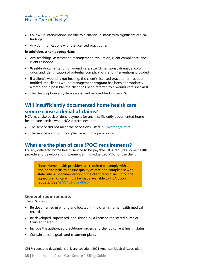

- Follow-up interventions specific to a change in status with significant clinical findings
- Any communications with the licensed practitioner

#### **In addition, when appropriate**:

- Any teachings, assessment, management, evaluation, client compliance, and client response
- **Weekly** documentation of wound care, size (dimensions), drainage, color, odor, and identification of potential complications and interventions provided
- If a client's wound is not healing, the client's licensed practitioner has been notified, the client's wound management program has been appropriately altered and if possible, the client has been referred to a wound care specialist
- The client's physical system assessment as identified in the POC

# <span id="page-34-0"></span>**Will insufficiently documented home health care service cause a denial of claims?**

HCA may take back or deny payment for any insufficiently documented home health care service when HCA determines that:

- The service did not meet the conditions listed in **[Coverage/Limits](#page-18-0)**.
- The service was not in compliance with program policy.

### <span id="page-34-1"></span>**What are the plan of care (POC) requirements?**

For any delivered home health service to be payable, HCA requires home health providers to develop and implement an individualized POC for the client.

> **Note**: Home health providers are required to comply with audits and/or site visits to ensure quality of care and compliance with state rule. All documentation in the client record, including the signed plan of care, must be made available to HCA upon request. (See **[WAC 182-502-0020](https://apps.leg.wa.gov/WAC/default.aspx?cite=182-502-0020)**)

#### <span id="page-34-2"></span>**General requirements**

The POC must:

- Be documented in writing and located in the client's home health medical record.
- Be developed, supervised, and signed by a licensed registered nurse or licensed therapist.
- Include the authorized practitioner orders and client's current health status.
- Contain specific goals and treatment plans.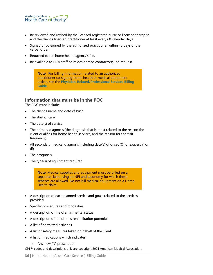

- Be reviewed and revised by the licensed registered nurse or licensed therapist and the client's licensed practitioner at least every 60 calendar days.
- Signed or co-signed by the authorized practitioner within 45 days of the verbal order.
- Returned to the home health agency's file.
- Be available to HCA staff or its designated contractor(s) on request.

**Note**: For billing information related to an authorized practitioner co-signing home health or medical equipment orders, see the **[Physician-Related/Professional Services Billing](https://hca.wa.gov/node/301)  [Guide](https://hca.wa.gov/node/301)**.

### <span id="page-35-0"></span>**Information that must be in the POC**

The POC must include:

- The client's name and date of birth
- The start of care
- The date(s) of service
- The primary diagnosis (the diagnosis that is most related to the reason the client qualifies for home health services, and the reason for the visit frequency)
- All secondary medical diagnosis including date(s) of onset (O) or exacerbation (E)
- The prognosis
- The type(s) of equipment required

**Note**: Medical supplies and equipment must be billed on a separate claim using an NPI and taxonomy for which these services are allowed. Do not bill medical equipment on a Home Health claim.

- A description of each planned service and goals related to the services provided
- Specific procedures and modalities
- A description of the client's mental status
- A description of the client's rehabilitation potential
- A list of permitted activities
- A list of safety measures taken on behalf of the client
- A list of medications which indicates:
	- o Any new (N) prescription.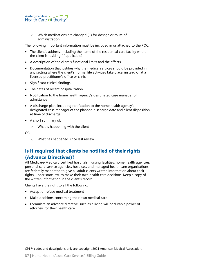

o Which medications are changed (C) for dosage or route of administration.

The following important information must be included in or attached to the POC:

- The client's address, including the name of the residential care facility where the client is residing (if applicable)
- A description of the client's functional limits and the effects
- Documentation that justifies why the medical services should be provided in any setting where the client's normal life activities take place, instead of at a licensed practitioner's office or clinic
- Significant clinical findings
- The dates of recent hospitalization
- Notification to the home health agency's designated case manager of admittance
- A discharge plan, including notification to the home health agency's designated case manager of the planned discharge date and client disposition at time of discharge
- A short summary of:
	- o What is happening with the client

OR-

o What has happened since last review

# <span id="page-36-0"></span>**Is it required that clients be notified of their rights (Advance Directives)?**

All Medicare-Medicaid certified hospitals, nursing facilities, home health agencies, personal care service agencies, hospices, and managed health care organizations are federally mandated to give all adult clients written information about their rights, under state law, to make their own health care decisions. Keep a copy of the written information in the client's record.

Clients have the right to all the following:

- Accept or refuse medical treatment
- Make decisions concerning their own medical care
- Formulate an advance directive, such as a living will or durable power of attorney, for their health care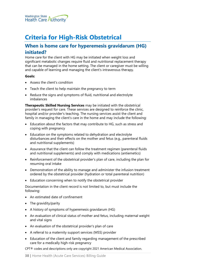

# <span id="page-37-0"></span>**Criteria for High-Risk Obstetrical**

# <span id="page-37-1"></span>**When is home care for hyperemesis gravidarum (HG) initiated?**

Home care for the client with HG may be initiated when weight loss and significant metabolic changes require fluid and nutritional replacement therapy that can be managed in the home setting. The client or caregiver must be willing and capable of learning and managing the client's intravenous therapy.

#### **Goals:**

- Assess the client's condition
- Teach the client to help maintain the pregnancy to term
- Reduce the signs and symptoms of fluid, nutritional and electrolyte imbalances

**Therapeutic Skilled Nursing Services** may be initiated with the obstetrical provider's request for care. These services are designed to reinforce the clinic, hospital and/or provider's teaching. The nursing services assist the client and family in managing the client's care in the home and may include the following:

- Education about the factors that may contribute to HG, such as stress and coping with pregnancy
- Education on the symptoms related to dehydration and electrolyte disturbances and their effects on the mother and fetus (e.g., parenteral fluids and nutritional supplements)
- Assurance that the client can follow the treatment regimen (parenteral fluids and nutritional supplements) and comply with medications (antiemetics)
- Reinforcement of the obstetrical provider's plan of care, including the plan for resuming oral intake
- Demonstration of the ability to manage and administer the infusion treatment ordered by the obstetrical provider (hydration or total parenteral nutrition)
- Education concerning when to notify the obstetrical provider

Documentation in the client record is not limited to, but must include the following:

- An estimated date of confinement
- The gravidity/parity
- A history of symptoms of hyperemesis gravidarum (HG)
- An evaluation of clinical status of mother and fetus, including maternal weight and vital signs
- An evaluation of the obstetrical provider's plan of care
- A referral to a maternity support services (MSS) provider
- Education of the client and family regarding management of the prescribed care for a medically high-risk pregnancy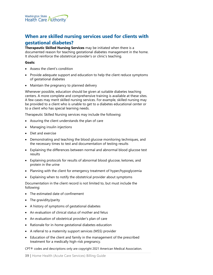

# <span id="page-38-0"></span>**When are skilled nursing services used for clients with gestational diabetes?**

**Therapeutic Skilled Nursing Services** may be initiated when there is a documented reason for teaching gestational diabetes management in the home. It should reinforce the obstetrical provider's or clinic's teaching.

#### **Goals:**

- Assess the client's condition
- Provide adequate support and education to help the client reduce symptoms of gestational diabetes
- Maintain the pregnancy to planned delivery

Whenever possible, education should be given at suitable diabetes teaching centers. A more complete and comprehensive training is available at these sites. A few cases may merit skilled nursing services. For example, skilled nursing may be provided to a client who is unable to get to a diabetes educational center or to a client who has special learning needs.

Therapeutic Skilled Nursing services may include the following:

- Assuring the client understands the plan of care
- Managing insulin injections
- Diet and exercise
- Demonstrating and teaching the blood glucose monitoring techniques, and the necessary times to test and documentation of testing results
- Explaining the differences between normal and abnormal blood glucose test results
- Explaining protocols for results of abnormal blood glucose, ketones, and protein in the urine
- Planning with the client for emergency treatment of hyper/hypoglycemia
- Explaining when to notify the obstetrical provider about symptoms

Documentation in the client record is not limited to, but must include the following:

- The estimated date of confinement
- The gravidity/parity
- A history of symptoms of gestational diabetes
- An evaluation of clinical status of mother and fetus
- An evaluation of obstetrical provider's plan of care
- Rationale for in-home gestational diabetes education
- A referral to a maternity support services (MSS) provider
- Education of the client and family in the management of the prescribed treatment for a medically high-risk pregnancy.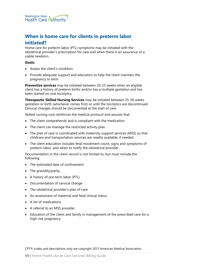

# <span id="page-39-0"></span>**When is home care for clients in preterm labor initiated?**

Home care for preterm labor (PTL) symptoms may be initiated with the obstetrical provider's prescription for care and when there is an assurance of a viable newborn.

#### **Goals:**

- Assess the client's condition
- Provide adequate support and education to help the client maintain the pregnancy to term

**Preventive services** may be initiated between 20-25 weeks when an eligible client has a history of preterm births and/or has a multiple gestation and has been started on oral tocolytics.

**Therapeutic Skilled Nursing Services** may be initiated between 25-36 weeks gestation or birth (whichever comes first) or until the tocolytics are discontinued. Cervical changes should be documented at the start of care.

Skilled nursing care reinforces the medical protocol and assures that:

- The client comprehends and is compliant with the medication.
- The client can manage the restricted activity plan.
- The plan of care is coordinated with maternity support services (MSS) so that childcare and transportation services are readily available, if needed.
- The client education includes fetal movement count, signs and symptoms of preterm labor, and when to notify the obstetrical provider.

Documentation in the client record is not limited to, but must include the following:

- The estimated date of confinement
- The gravidity/parity
- A history of pre-term labor (PTL)
- Documentation of cervical change
- The obstetrical provider's plan of care
- An assessment of maternal and fetal clinical status
- A list of medications
- A referral to an MSS provider
- Education of the client and family in management of the prescribed care for a high-risk pregnancy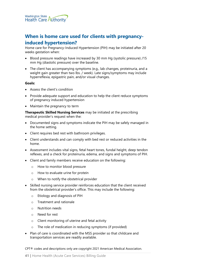

# <span id="page-40-0"></span>**When is home care used for clients with pregnancyinduced hypertension?**

Home care for Pregnancy-Induced Hypertension (PIH) may be initiated after 20 weeks gestation when:

- Blood pressure readings have increased by 30 mm Hg (systolic pressure) /15 mm Hg (diastolic pressure) over the baseline.
- The client has accompanying symptoms (e.g., lab changes, proteinuria, and a weight gain greater than two lbs. / week). Late signs/symptoms may include hyperreflexia, epigastric pain, and/or visual changes.

#### **Goals:**

- Assess the client's condition
- Provide adequate support and education to help the client reduce symptoms of pregnancy induced hypertension
- Maintain the pregnancy to term

**Therapeutic Skilled Nursing Services** may be initiated at the prescribing medical provider's request when the:

- Documented signs and symptoms indicate the PIH may be safely managed in the home setting.
- Client requires bed rest with bathroom privileges.
- Client understands and can comply with bed rest or reduced activities in the home.
- Assessment includes vital signs, fetal heart tones, fundal height, deep tendon reflexes, and a check for proteinuria, edema, and signs and symptoms of PIH.
- Client and family members receive education on the following:
	- o How to monitor blood pressure
	- o How to evaluate urine for protein
	- o When to notify the obstetrical provider
- Skilled nursing service provider reinforces education that the client received from the obstetrical provider's office. This may include the following:
	- o Etiology and diagnosis of PIH
	- o Treatment and rationale
	- o Nutrition needs
	- o Need for rest
	- o Client monitoring of uterine and fetal activity
	- o The role of medication in reducing symptoms (if provided)
- Plan of care is coordinated with the MSS provider so that childcare and transportation services are readily available.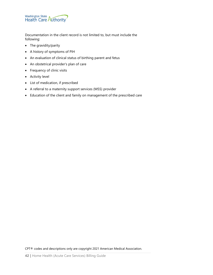

Documentation in the client record is not limited to, but must include the following:

- The gravidity/parity
- A history of symptoms of PIH
- An evaluation of clinical status of birthing parent and fetus
- An obstetrical provider's plan of care
- Frequency of clinic visits
- Activity level
- List of medication, if prescribed
- A referral to a maternity support services (MSS) provider
- Education of the client and family on management of the prescribed care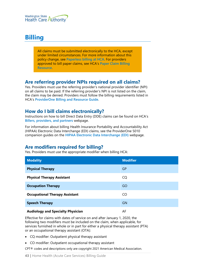

# <span id="page-42-0"></span>**Billing**

All claims must be submitted electronically to the HCA, except under limited circumstances. For more information about this policy change, see **[Paperless billing at HCA](http://www.hca.wa.gov/billers-providers/providerone/providerone-billing-and-resource-guide#paperless-billing-at-hca)**. For providers approved to bill paper claims, see HCA's **[Paper Claim Billing](http://www.hca.wa.gov/assets/billers-and-providers/paper-claim-billing-resource.pdf)  [Resource](http://www.hca.wa.gov/assets/billers-and-providers/paper-claim-billing-resource.pdf)**.

### <span id="page-42-1"></span>**Are referring provider NPIs required on all claims?**

Yes. Providers must use the referring provider's national provider identifier (NPI) on all claims to be paid. If the referring provider's NPI is not listed on the claim, the claim may be denied. Providers must follow the billing requirements listed in HCA's **[ProviderOne Billing and Resource Guide](http://www.hca.wa.gov/node/311)**.

# <span id="page-42-2"></span>**How do I bill claims electronically?**

Instructions on how to bill Direct Data Entry (DDE) claims can be found on HCA's **[Billers, providers, and partners](http://hca.wa.gov/billers-providers)** webpage.

For information about billing Health Insurance Portability and Accountability Act (HIPAA) Electronic Data Interchange (EDI) claims, see the ProviderOne 5010 companion guides on the **[HIPAA Electronic Data Interchange \(EDI\)](http://www.hca.wa.gov/node/2336)** webpage.

# <span id="page-42-3"></span>**Are modifiers required for billing?**

Yes. Providers must use the appropriate modifier when billing HCA:

| <b>Modality</b>                       | <b>Modifier</b> |
|---------------------------------------|-----------------|
| <b>Physical Therapy</b>               | GP              |
| <b>Physical Therapy Assistant</b>     | CQ              |
| <b>Occupation Therapy</b>             | GO              |
| <b>Occupational Therapy Assistant</b> | CO.             |
| <b>Speech Therapy</b>                 | <b>GN</b>       |
| Audiology and Spocialty Dhycician     | ᅀᄃ              |

#### **Audiology and Specialty Physician**

Effective for claims with dates of service on and after January 1, 2020, the following two modifiers must be included on the claim, when applicable, for services furnished in whole or in part for either a physical therapy assistant (PTA) or an occupational therapy assistant (OTA):

- CQ modifier: Outpatient physical therapy assistant
- CO modifier: Outpatient occupational therapy assistant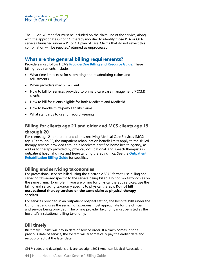

The CQ or GO modifier must be included on the claim line of the service, along with the appropriate GP or CO therapy modifier to identify those PTA or OTA services furnished under a PT or OT plan of care. Claims that do not reflect this combination will be rejected/returned as unprocessed.

# <span id="page-43-0"></span>**What are the general billing requirements?**

Providers must follow HCA's **[ProviderOne Billing and Resource Guide](http://www.hca.wa.gov/node/311)**. These billing requirements include:

- What time limits exist for submitting and resubmitting claims and adjustments.
- When providers may bill a client.
- How to bill for services provided to primary care case management (PCCM) clients.
- How to bill for clients eligible for both Medicare and Medicaid.
- How to handle third-party liability claims.
- What standards to use for record keeping.

# <span id="page-43-1"></span>**Billing for clients age 21 and older and MCS clients age 19 through 20**

For clients age 21 and older and clients receiving Medical Care Services (MCS) age 19 through 20, the outpatient rehabilitation benefit limits apply to the skilled therapy services provided through a Medicare-certified home health agency, as well as to therapy provided by physical, occupational, and speech therapists in outpatient hospital clinics and free-standing therapy clinics. See the **[Outpatient](https://www.hca.wa.gov/node/301)  [Rehabilitation Billing Guide](https://www.hca.wa.gov/node/301)** for specifics.

#### <span id="page-43-2"></span>**Billing and servicing taxonomies**

For professional services billed using the electronic 837P format, use billing and servicing taxonomy specific to the service being billed. Do not mix taxonomies on the same claim. **Example:** If you are billing for physical therapy services, use the billing and servicing taxonomy specific to physical therapy. **Do not bill occupational therapy services on the same claim as physical therapy services**.

For services provided in an outpatient hospital setting, the hospital bills under the UB format and uses the servicing taxonomy most appropriate for the clinician and service being provided. The billing provider taxonomy must be listed as the hospital's institutional billing taxonomy.

#### <span id="page-43-3"></span>**Bill timely**

Bill timely. Claims will pay in date of service order. If a claim comes in for a previous date of service, the system will automatically pay the earlier date and recoup or adjust the later date.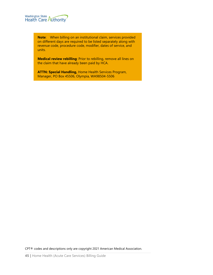

**Note**: When billing on an institutional claim, services provided on different days are required to be listed separately along with revenue code, procedure code, modifier, dates of service, and units.

**Medical review rebilling**: Prior to rebilling, remove all lines on the claim that have already been paid by HCA.

**ATTN: Special Handling,** Home Health Services Program, Manager, PO Box 45506, Olympia, WA98504-5506